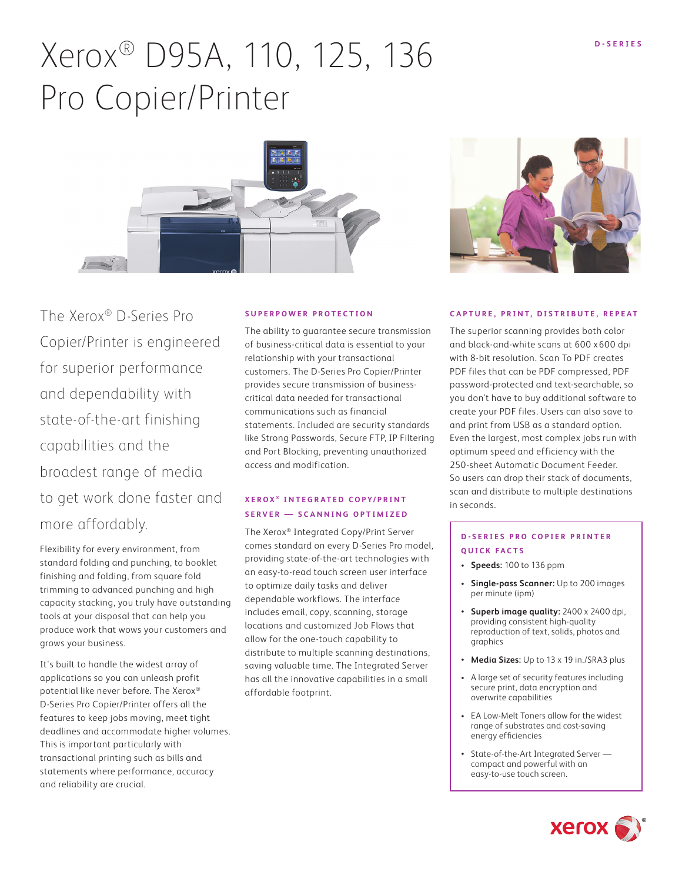# Xerox<sup>®</sup> D95A, 110, 125, 136 Pro Copier/Printer



The Xerox® D-Series Pro Copier/Printer is engineered for superior performance and dependability with state-of-the-art finishing capabilities and the broadest range of media to get work done faster and more affordably.

Flexibility for every environment, from standard folding and punching, to booklet finishing and folding, from square fold trimming to advanced punching and high capacity stacking, you truly have outstanding tools at your disposal that can help you produce work that wows your customers and grows your business.

It's built to handle the widest array of applications so you can unleash profit potential like never before. The Xerox® D-Series Pro Copier/Printer offers all the features to keep jobs moving, meet tight deadlines and accommodate higher volumes. This is important particularly with transactional printing such as bills and statements where performance, accuracy and reliability are crucial.

#### **SUPERPOWER PROTECTION**

The ability to guarantee secure transmission of business-critical data is essential to your relationship with your transactional customers. The D-Series Pro Copier/Printer provides secure transmission of businesscritical data needed for transactional communications such as financial statements. Included are security standards like Strong Passwords, Secure FTP, IP Filtering and Port Blocking, preventing unauthorized access and modification.

### **XEROX ® I N T E G R AT E D C O P Y / P R I N T SERVER — SCANNING OPTIMIZED**

The Xerox® Integrated Copy/Print Server comes standard on every D-Series Pro model, providing state-of-the-art technologies with an easy-to-read touch screen user interface to optimize daily tasks and deliver dependable workflows. The interface includes email, copy, scanning, storage locations and customized Job Flows that allow for the one-touch capability to distribute to multiple scanning destinations, saving valuable time. The Integrated Server has all the innovative capabilities in a small affordable footprint.



#### **CAPTURE, PRINT, DISTRIBUTE, REPEAT**

The superior scanning provides both color and black-and-white scans at 600 x 600 dpi with 8-bit resolution. Scan To PDF creates PDF files that can be PDF compressed, PDF password-protected and text-searchable, so you don't have to buy additional software to create your PDF files. Users can also save to and print from USB as a standard option. Even the largest, most complex jobs run with optimum speed and efficiency with the 250-sheet Automatic Document Feeder. So users can drop their stack of documents, scan and distribute to multiple destinations in seconds.

#### **D - S E R I E S P R O C O P I E R P R I N T E R QUICK FACTS**

- **• Speeds:** 100 to 136 ppm
- **• Single-pass Scanner:** Up to 200 images per minute (ipm)
- **• Superb image quality:** 2400 x 2400 dpi, providing consistent high-quality reproduction of text, solids, photos and graphics
- **• Media Sizes:** Up to 13 x 19 in./SRA3 plus
- A large set of security features including secure print, data encryption and overwrite capabilities
- EA Low-Melt Toners allow for the widest range of substrates and cost-saving energy efficiencies
- State-of-the-Art Integrated Server compact and powerful with an easy-to-use touch screen.